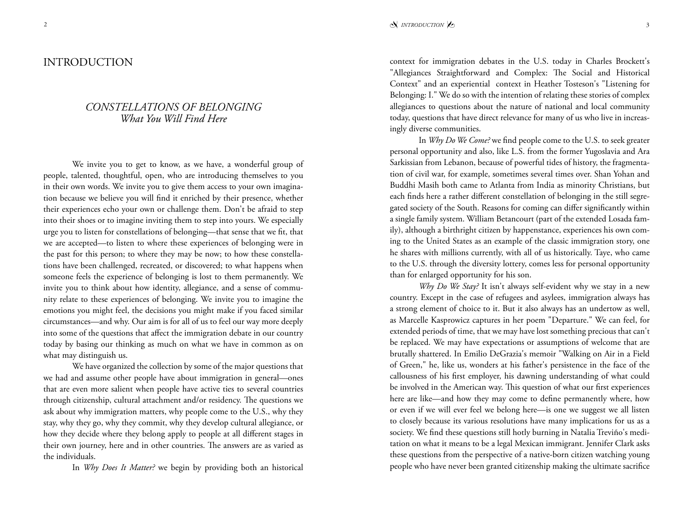## *CONSTELLATIONS OF BELONGING What You Will Find Here*

We invite you to get to know, as we have, a wonderful group of people, talented, thoughtful, open, who are introducing themselves to you in their own words. We invite you to give them access to your own imagination because we believe you will find it enriched by their presence, whether their experiences echo your own or challenge them. Don't be afraid to step into their shoes or to imagine inviting them to step into yours. We especially urge you to listen for constellations of belonging—that sense that we fit, that we are accepted—to listen to where these experiences of belonging were in the past for this person; to where they may be now; to how these constellations have been challenged, recreated, or discovered; to what happens when someone feels the experience of belonging is lost to them permanently. We invite you to think about how identity, allegiance, and a sense of community relate to these experiences of belonging. We invite you to imagine the emotions you might feel, the decisions you might make if you faced similar circumstances—and why. Our aim is for all of us to feel our way more deeply into some of the questions that affect the immigration debate in our country today by basing our thinking as much on what we have in common as on what may distinguish us.

We have organized the collection by some of the major questions that we had and assume other people have about immigration in general—ones that are even more salient when people have active ties to several countries through citizenship, cultural attachment and/or residency. The questions we ask about why immigration matters, why people come to the U.S., why they stay, why they go, why they commit, why they develop cultural allegiance, or how they decide where they belong apply to people at all different stages in their own journey, here and in other countries. The answers are as varied as the individuals.

In *Why Does It Matter?* we begin by providing both an historical

context for immigration debates in the U.S. today in Charles Brockett's "Allegiances Straightforward and Complex: The Social and Historical Context" and an experiential context in Heather Tosteson's "Listening for Belonging: I." We do so with the intention of relating these stories of complex allegiances to questions about the nature of national and local community today, questions that have direct relevance for many of us who live in increasingly diverse communities.

In *Why Do We Come?* we find people come to the U.S. to seek greater personal opportunity and also, like L.S. from the former Yugoslavia and Ara Sarkissian from Lebanon, because of powerful tides of history, the fragmentation of civil war, for example, sometimes several times over. Shan Yohan and Buddhi Masih both came to Atlanta from India as minority Christians, but each finds here a rather different constellation of belonging in the still segregated society of the South. Reasons for coming can differ significantly within a single family system. William Betancourt (part of the extended Losada family), although a birthright citizen by happenstance, experiences his own coming to the United States as an example of the classic immigration story, one he shares with millions currently, with all of us historically. Taye, who came to the U.S. through the diversity lottery, comes less for personal opportunity than for enlarged opportunity for his son.

*Why Do We Stay?* It isn't always self-evident why we stay in a new country. Except in the case of refugees and asylees, immigration always has a strong element of choice to it. But it also always has an undertow as well, as Marcelle Kasprowicz captures in her poem "Departure." We can feel, for extended periods of time, that we may have lost something precious that can't be replaced. We may have expectations or assumptions of welcome that are brutally shattered. In Emilio DeGrazia's memoir "Walking on Air in a Field of Green," he, like us, wonders at his father's persistence in the face of the callousness of his first employer, his dawning understanding of what could be involved in the American way. This question of what our first experiences here are like—and how they may come to define permanently where, how or even if we will ever feel we belong here—is one we suggest we all listen to closely because its various resolutions have many implications for us as a society. We find these questions still hotly burning in Natalia Treviño's meditation on what it means to be a legal Mexican immigrant. Jennifer Clark asks these questions from the perspective of a native-born citizen watching young people who have never been granted citizenship making the ultimate sacrifice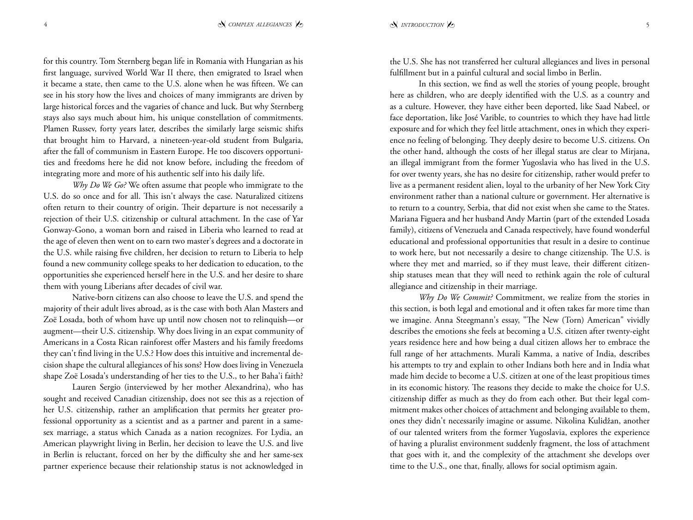for this country. Tom Sternberg began life in Romania with Hungarian as his first language, survived World War II there, then emigrated to Israel when it became a state, then came to the U.S. alone when he was fifteen. We can see in his story how the lives and choices of many immigrants are driven by large historical forces and the vagaries of chance and luck. But why Sternberg stays also says much about him, his unique constellation of commitments. Plamen Russev, forty years later, describes the similarly large seismic shifts that brought him to Harvard, a nineteen-year-old student from Bulgaria, after the fall of communism in Eastern Europe. He too discovers opportunities and freedoms here he did not know before, including the freedom of integrating more and more of his authentic self into his daily life.

*Why Do We Go?* We often assume that people who immigrate to the U.S. do so once and for all. This isn't always the case. Naturalized citizens often return to their country of origin. Their departure is not necessarily a rejection of their U.S. citizenship or cultural attachment. In the case of Yar Gonway-Gono, a woman born and raised in Liberia who learned to read at the age of eleven then went on to earn two master's degrees and a doctorate in the U.S. while raising five children, her decision to return to Liberia to help found a new community college speaks to her dedication to education, to the opportunities she experienced herself here in the U.S. and her desire to share them with young Liberians after decades of civil war.

Native-born citizens can also choose to leave the U.S. and spend the majority of their adult lives abroad, as is the case with both Alan Masters and Zoë Losada, both of whom have up until now chosen not to relinquish—or augment—their U.S. citizenship. Why does living in an expat community of Americans in a Costa Rican rainforest offer Masters and his family freedoms they can't find living in the U.S.? How does this intuitive and incremental decision shape the cultural allegiances of his sons? How does living in Venezuela shape Zoë Losada's understanding of her ties to the U.S., to her Baha'i faith?

Lauren Sergio (interviewed by her mother Alexandrina), who has sought and received Canadian citizenship, does not see this as a rejection of her U.S. citizenship, rather an amplification that permits her greater professional opportunity as a scientist and as a partner and parent in a samesex marriage, a status which Canada as a nation recognizes. For Lydia, an American playwright living in Berlin, her decision to leave the U.S. and live in Berlin is reluctant, forced on her by the difficulty she and her same-sex partner experience because their relationship status is not acknowledged in

the U.S. She has not transferred her cultural allegiances and lives in personal fulfillment but in a painful cultural and social limbo in Berlin.

In this section, we find as well the stories of young people, brought here as children, who are deeply identified with the U.S. as a country and as a culture. However, they have either been deported, like Saad Nabeel, or face deportation, like José Varible, to countries to which they have had little exposure and for which they feel little attachment, ones in which they experience no feeling of belonging. They deeply desire to become U.S. citizens. On the other hand, although the costs of her illegal status are clear to Mirjana, an illegal immigrant from the former Yugoslavia who has lived in the U.S. for over twenty years, she has no desire for citizenship, rather would prefer to live as a permanent resident alien, loyal to the urbanity of her New York City environment rather than a national culture or government. Her alternative is to return to a country, Serbia, that did not exist when she came to the States. Mariana Figuera and her husband Andy Martin (part of the extended Losada family), citizens of Venezuela and Canada respectively, have found wonderful educational and professional opportunities that result in a desire to continue to work here, but not necessarily a desire to change citizenship. The U.S. is where they met and married, so if they must leave, their different citizenship statuses mean that they will need to rethink again the role of cultural allegiance and citizenship in their marriage.

*Why Do We Commit?* Commitment, we realize from the stories in this section, is both legal and emotional and it often takes far more time than we imagine. Anna Steegmann's essay, "The New (Torn) American" vividly describes the emotions she feels at becoming a U.S. citizen after twenty-eight years residence here and how being a dual citizen allows her to embrace the full range of her attachments. Murali Kamma, a native of India, describes his attempts to try and explain to other Indians both here and in India what made him decide to become a U.S. citizen at one of the least propitious times in its economic history. The reasons they decide to make the choice for U.S. citizenship differ as much as they do from each other. But their legal commitment makes other choices of attachment and belonging available to them, ones they didn't necessarily imagine or assume. Nikolina Kulidžan, another of our talented writers from the former Yugoslavia, explores the experience of having a pluralist environment suddenly fragment, the loss of attachment that goes with it, and the complexity of the attachment she develops over time to the U.S., one that, finally, allows for social optimism again.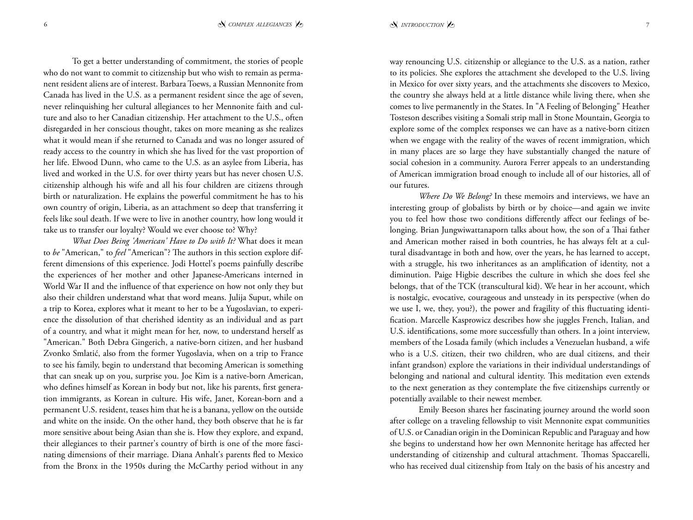To get a better understanding of commitment, the stories of people who do not want to commit to citizenship but who wish to remain as permanent resident aliens are of interest. Barbara Toews, a Russian Mennonite from Canada has lived in the U.S. as a permanent resident since the age of seven, never relinquishing her cultural allegiances to her Mennonite faith and culture and also to her Canadian citizenship. Her attachment to the U.S., often disregarded in her conscious thought, takes on more meaning as she realizes what it would mean if she returned to Canada and was no longer assured of ready access to the country in which she has lived for the vast proportion of her life. Elwood Dunn, who came to the U.S. as an asylee from Liberia, has lived and worked in the U.S. for over thirty years but has never chosen U.S. citizenship although his wife and all his four children are citizens through birth or naturalization. He explains the powerful commitment he has to his own country of origin, Liberia, as an attachment so deep that transferring it feels like soul death. If we were to live in another country, how long would it take us to transfer our loyalty? Would we ever choose to? Why?

*What Does Being 'American' Have to Do with It?* What does it mean to *be* "American," to *feel* "American"? The authors in this section explore different dimensions of this experience. Jodi Hottel's poems painfully describe the experiences of her mother and other Japanese-Americans interned in World War II and the influence of that experience on how not only they but also their children understand what that word means. Julija Suput, while on a trip to Korea, explores what it meant to her to be a Yugoslavian, to experience the dissolution of that cherished identity as an individual and as part of a country, and what it might mean for her, now, to understand herself as "American." Both Debra Gingerich, a native-born citizen, and her husband Zvonko Smlatić, also from the former Yugoslavia, when on a trip to France to see his family, begin to understand that becoming American is something that can sneak up on you, surprise you. Joe Kim is a native-born American, who defines himself as Korean in body but not, like his parents, first generation immigrants, as Korean in culture. His wife, Janet, Korean-born and a permanent U.S. resident, teases him that he is a banana, yellow on the outside and white on the inside. On the other hand, they both observe that he is far more sensitive about being Asian than she is. How they explore, and expand, their allegiances to their partner's country of birth is one of the more fascinating dimensions of their marriage. Diana Anhalt's parents fled to Mexico from the Bronx in the 1950s during the McCarthy period without in any

way renouncing U.S. citizenship or allegiance to the U.S. as a nation, rather to its policies. She explores the attachment she developed to the U.S. living in Mexico for over sixty years, and the attachments she discovers to Mexico, the country she always held at a little distance while living there, when she comes to live permanently in the States. In "A Feeling of Belonging" Heather Tosteson describes visiting a Somali strip mall in Stone Mountain, Georgia to explore some of the complex responses we can have as a native-born citizen when we engage with the reality of the waves of recent immigration, which in many places are so large they have substantially changed the nature of social cohesion in a community. Aurora Ferrer appeals to an understanding of American immigration broad enough to include all of our histories, all of our futures.

*Where Do We Belong?* In these memoirs and interviews, we have an interesting group of globalists by birth or by choice—and again we invite you to feel how those two conditions differently affect our feelings of belonging. Brian Jungwiwattanaporn talks about how, the son of a Thai father and American mother raised in both countries, he has always felt at a cultural disadvantage in both and how, over the years, he has learned to accept, with a struggle, his two inheritances as an amplification of identity, not a diminution. Paige Higbie describes the culture in which she does feel she belongs, that of the TCK (transcultural kid). We hear in her account, which is nostalgic, evocative, courageous and unsteady in its perspective (when do we use I, we, they, you?), the power and fragility of this fluctuating identification. Marcelle Kasprowicz describes how she juggles French, Italian, and U.S. identifications, some more successfully than others. In a joint interview, members of the Losada family (which includes a Venezuelan husband, a wife who is a U.S. citizen, their two children, who are dual citizens, and their infant grandson) explore the variations in their individual understandings of belonging and national and cultural identity. This meditation even extends to the next generation as they contemplate the five citizenships currently or potentially available to their newest member.

Emily Beeson shares her fascinating journey around the world soon after college on a traveling fellowship to visit Mennonite expat communities of U.S. or Canadian origin in the Dominican Republic and Paraguay and how she begins to understand how her own Mennonite heritage has affected her understanding of citizenship and cultural attachment. Thomas Spaccarelli, who has received dual citizenship from Italy on the basis of his ancestry and